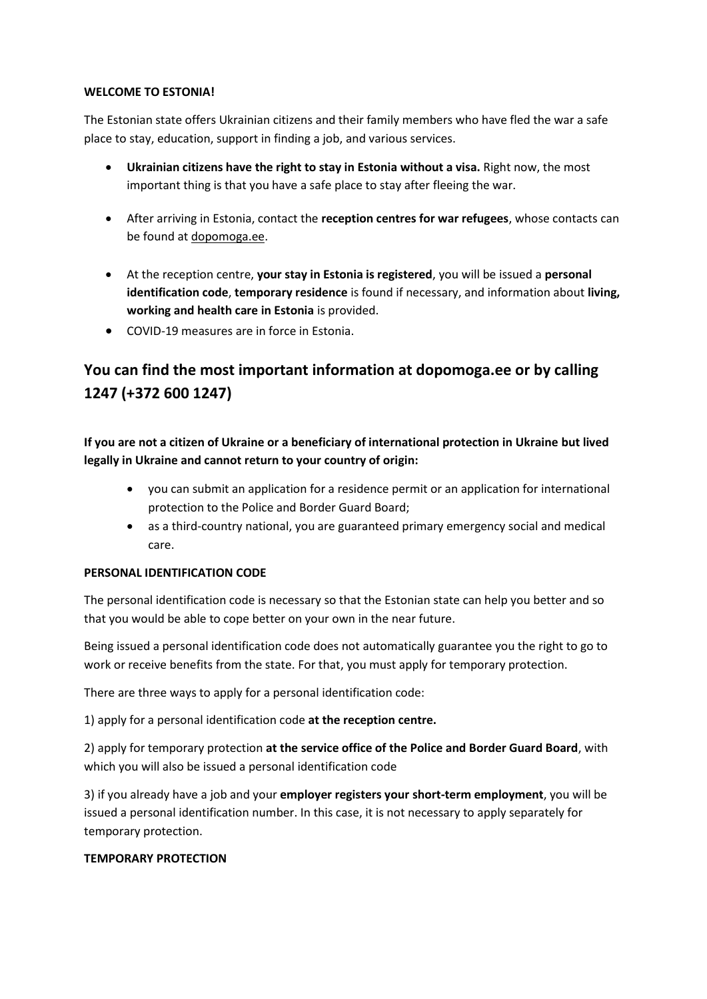### **WELCOME TO ESTONIA!**

The Estonian state offers Ukrainian citizens and their family members who have fled the war a safe place to stay, education, support in finding a job, and various services.

- **Ukrainian citizens have the right to stay in Estonia without a visa.** Right now, the most important thing is that you have a safe place to stay after fleeing the war.
- After arriving in Estonia, contact the **reception centres for war refugees**, whose contacts can be found at dopomoga.ee.
- At the reception centre, **your stay in Estonia is registered**, you will be issued a **personal identification code**, **temporary residence** is found if necessary, and information about **living, working and health care in Estonia** is provided.
- COVID-19 measures are in force in Estonia.

# **You can find the most important information at dopomoga.ee or by calling 1247 (+372 600 1247)**

**If you are not a citizen of Ukraine or a beneficiary of international protection in Ukraine but lived legally in Ukraine and cannot return to your country of origin:**

- you can submit an application for a residence permit or an application for international protection to the Police and Border Guard Board;
- as a third-country national, you are guaranteed primary emergency social and medical care.

# **PERSONAL IDENTIFICATION CODE**

The personal identification code is necessary so that the Estonian state can help you better and so that you would be able to cope better on your own in the near future.

Being issued a personal identification code does not automatically guarantee you the right to go to work or receive benefits from the state. For that, you must apply for temporary protection.

There are three ways to apply for a personal identification code:

1) apply for a personal identification code **at the reception centre.**

2) apply for temporary protection **at the service office of the Police and Border Guard Board**, with which you will also be issued a personal identification code

3) if you already have a job and your **employer registers your short-term employment**, you will be issued a personal identification number. In this case, it is not necessary to apply separately for temporary protection.

# **TEMPORARY PROTECTION**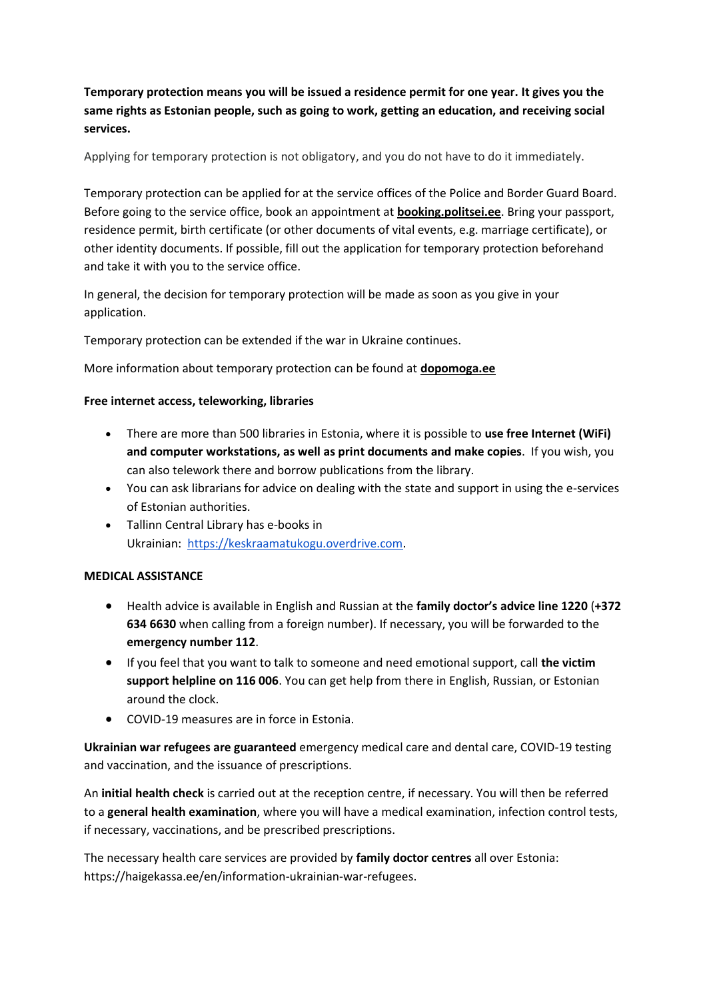**Temporary protection means you will be issued a residence permit for one year. It gives you the same rights as Estonian people, such as going to work, getting an education, and receiving social services.**

Applying for temporary protection is not obligatory, and you do not have to do it immediately.

Temporary protection can be applied for at the service offices of the Police and Border Guard Board. Before going to the service office, book an appointment at **booking.politsei.ee**. Bring your passport, residence permit, birth certificate (or other documents of vital events, e.g. marriage certificate), or other identity documents. If possible, fill out the application for temporary protection beforehand and take it with you to the service office.

In general, the decision for temporary protection will be made as soon as you give in your application.

Temporary protection can be extended if the war in Ukraine continues.

More information about temporary protection can be found at **dopomoga.ee**

#### **Free internet access, teleworking, libraries**

- There are more than 500 libraries in Estonia, where it is possible to **use free Internet (WiFi) and computer workstations, as well as print documents and make copies**. If you wish, you can also telework there and borrow publications from the library.
- You can ask librarians for advice on dealing with the state and support in using the e-services of Estonian authorities.
- Tallinn Central Library has e-books in Ukrainian: [https://keskraamatukogu.overdrive.com.](https://keskraamatukogu.overdrive.com/)

#### **MEDICAL ASSISTANCE**

- Health advice is available in English and Russian at the **family doctor's advice line 1220** (**+372 634 6630** when calling from a foreign number). If necessary, you will be forwarded to the **emergency number 112**.
- If you feel that you want to talk to someone and need emotional support, call **the victim support helpline on 116 006**. You can get help from there in English, Russian, or Estonian around the clock.
- COVID-19 measures are in force in Estonia.

**Ukrainian war refugees are guaranteed** emergency medical care and dental care, COVID-19 testing and vaccination, and the issuance of prescriptions.

An **initial health check** is carried out at the reception centre, if necessary. You will then be referred to a **general health examination**, where you will have a medical examination, infection control tests, if necessary, vaccinations, and be prescribed prescriptions.

The necessary health care services are provided by **family doctor centres** all over Estonia: https://haigekassa.ee/en/information-ukrainian-war-refugees.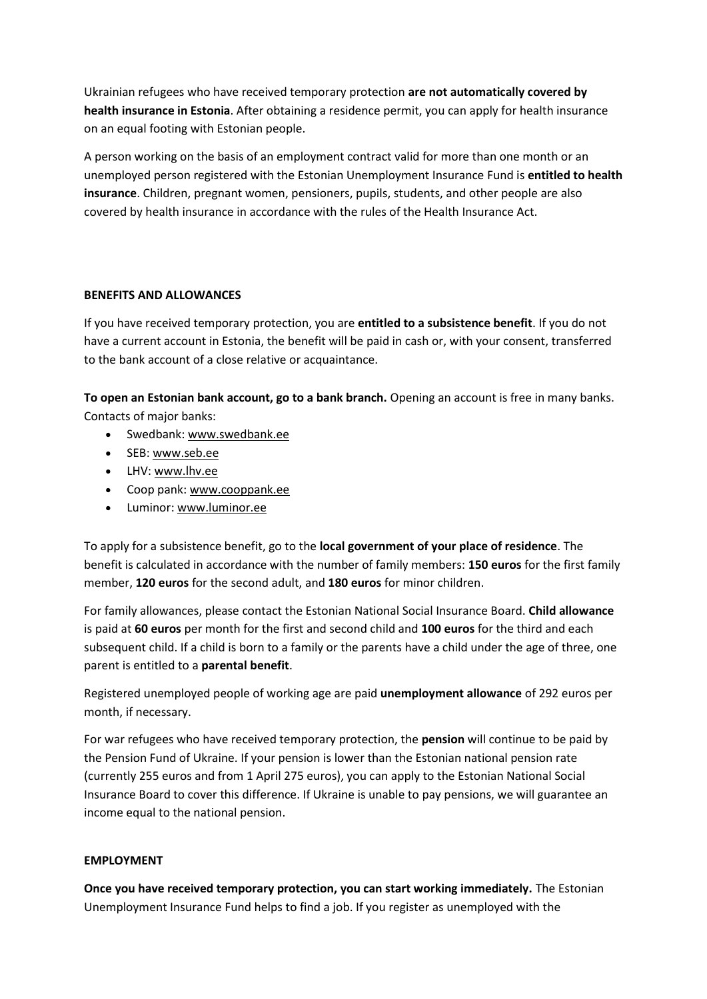Ukrainian refugees who have received temporary protection **are not automatically covered by health insurance in Estonia**. After obtaining a residence permit, you can apply for health insurance on an equal footing with Estonian people.

A person working on the basis of an employment contract valid for more than one month or an unemployed person registered with the Estonian Unemployment Insurance Fund is **entitled to health insurance**. Children, pregnant women, pensioners, pupils, students, and other people are also covered by health insurance in accordance with the rules of the Health Insurance Act.

# **BENEFITS AND ALLOWANCES**

If you have received temporary protection, you are **entitled to a subsistence benefit**. If you do not have a current account in Estonia, the benefit will be paid in cash or, with your consent, transferred to the bank account of a close relative or acquaintance.

**To open an Estonian bank account, go to a bank branch.** Opening an account is free in many banks. Contacts of major banks:

- Swedbank: [www.swedbank.ee](https://www.swedbank.ee/private/d2d/start)
- SEB[: www.seb.ee](https://www.seb.ee/en)
- LHV: [www.lhv.ee](https://www.lhv.ee/en)
- Coop pank: [www.cooppank.ee](https://www.cooppank.ee/en)
- Luminor: [www.luminor.ee](https://luminor.ee/)

To apply for a subsistence benefit, go to the **local government of your place of residence**. The benefit is calculated in accordance with the number of family members: **150 euros** for the first family member, **120 euros** for the second adult, and **180 euros** for minor children.

For family allowances, please contact the Estonian National Social Insurance Board. **Child allowance** is paid at **60 euros** per month for the first and second child and **100 euros** for the third and each subsequent child. If a child is born to a family or the parents have a child under the age of three, one parent is entitled to a **parental benefit**.

Registered unemployed people of working age are paid **unemployment allowance** of 292 euros per month, if necessary.

For war refugees who have received temporary protection, the **pension** will continue to be paid by the Pension Fund of Ukraine. If your pension is lower than the Estonian national pension rate (currently 255 euros and from 1 April 275 euros), you can apply to the Estonian National Social Insurance Board to cover this difference. If Ukraine is unable to pay pensions, we will guarantee an income equal to the national pension.

# **EMPLOYMENT**

**Once you have received temporary protection, you can start working immediately.** The Estonian Unemployment Insurance Fund helps to find a job. If you register as unemployed with the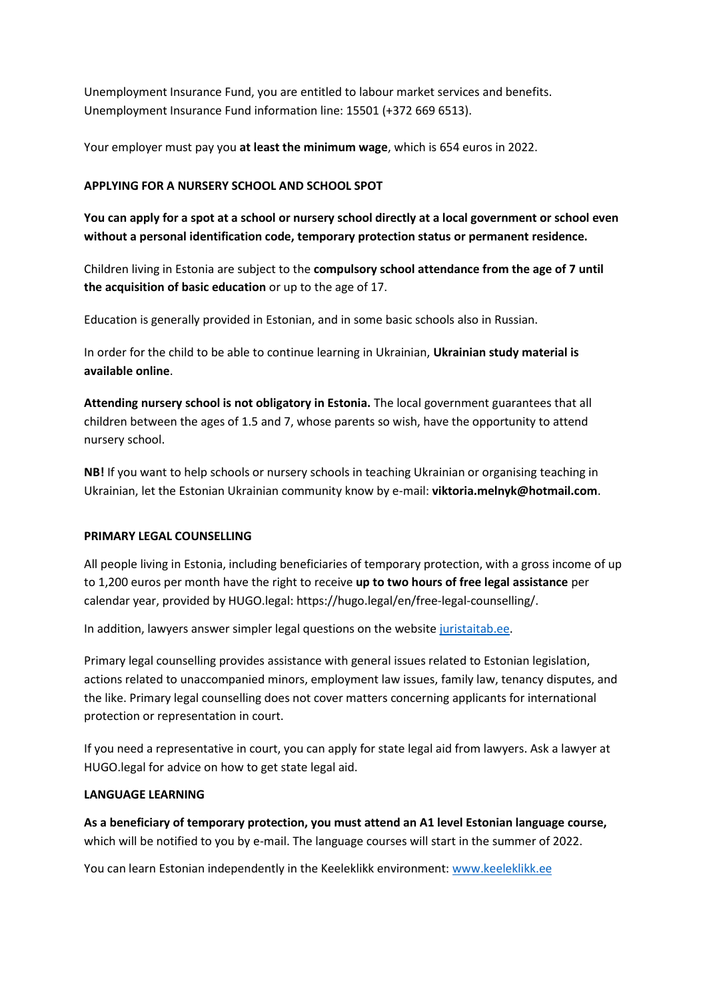Unemployment Insurance Fund, you are entitled to labour market services and benefits. Unemployment Insurance Fund information line: 15501 (+372 669 6513).

Your employer must pay you **at least the minimum wage**, which is 654 euros in 2022.

## **APPLYING FOR A NURSERY SCHOOL AND SCHOOL SPOT**

**You can apply for a spot at a school or nursery school directly at a local government or school even without a personal identification code, temporary protection status or permanent residence.**

Children living in Estonia are subject to the **compulsory school attendance from the age of 7 until the acquisition of basic education** or up to the age of 17.

Education is generally provided in Estonian, and in some basic schools also in Russian.

In order for the child to be able to continue learning in Ukrainian, **Ukrainian study material is available online**.

**Attending nursery school is not obligatory in Estonia.** The local government guarantees that all children between the ages of 1.5 and 7, whose parents so wish, have the opportunity to attend nursery school.

**NB!** If you want to help schools or nursery schools in teaching Ukrainian or organising teaching in Ukrainian, let the Estonian Ukrainian community know by e-mail: **viktoria.melnyk@hotmail.com**.

#### **PRIMARY LEGAL COUNSELLING**

All people living in Estonia, including beneficiaries of temporary protection, with a gross income of up to 1,200 euros per month have the right to receive **up to two hours of free legal assistance** per calendar year, provided by HUGO.legal: https://hugo.legal/en/free-legal-counselling/.

In addition, lawyers answer simpler legal questions on the website [juristaitab.ee.](http://juristaitab.ee/)

Primary legal counselling provides assistance with general issues related to Estonian legislation, actions related to unaccompanied minors, employment law issues, family law, tenancy disputes, and the like. Primary legal counselling does not cover matters concerning applicants for international protection or representation in court.

If you need a representative in court, you can apply for state legal aid from lawyers. Ask a lawyer at HUGO.legal for advice on how to get state legal aid.

#### **LANGUAGE LEARNING**

**As a beneficiary of temporary protection, you must attend an A1 level Estonian language course,** which will be notified to you by e-mail. The language courses will start in the summer of 2022.

You can learn Estonian independently in the Keeleklikk environment: [www.keeleklikk.ee](https://www.keeleklikk.ee/index_en.html)